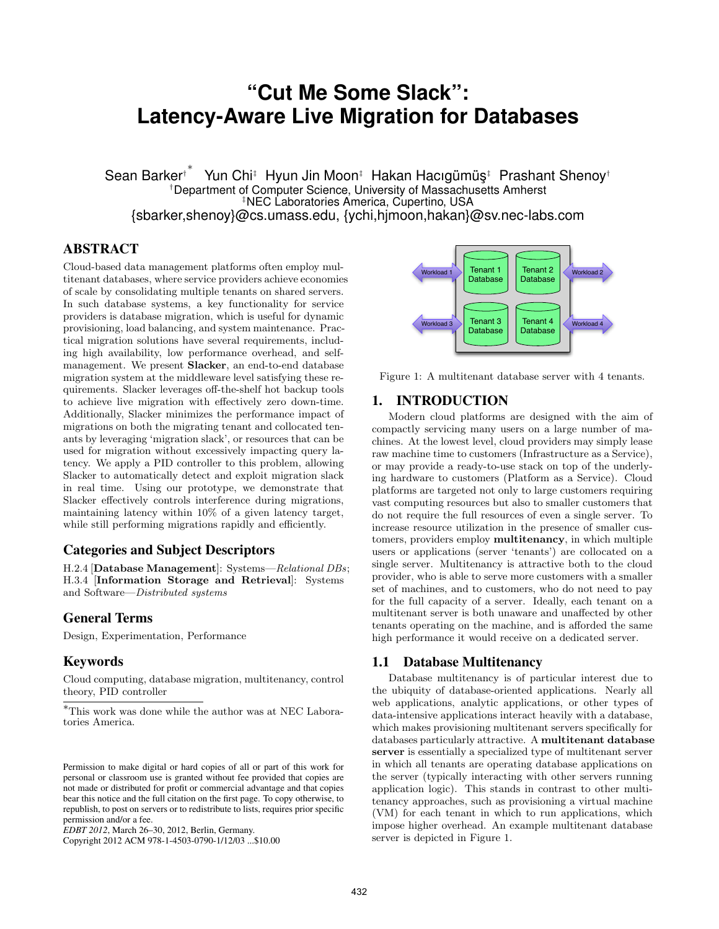# **"Cut Me Some Slack": Latency-Aware Live Migration for Databases**

Sean Barker<sup>†\*</sup> Yun Chi‡ Hyun Jin Moon‡ Hakan Hacıgümüş‡ Prashant Shenoy† †Department of Computer Science, University of Massachusetts Amherst ‡NEC Laboratories America, Cupertino, USA {sbarker,shenoy}@cs.umass.edu, {ychi,hjmoon,hakan}@sv.nec-labs.com

# ABSTRACT

Cloud-based data management platforms often employ multitenant databases, where service providers achieve economies of scale by consolidating multiple tenants on shared servers. In such database systems, a key functionality for service providers is database migration, which is useful for dynamic provisioning, load balancing, and system maintenance. Practical migration solutions have several requirements, including high availability, low performance overhead, and selfmanagement. We present Slacker, an end-to-end database migration system at the middleware level satisfying these requirements. Slacker leverages off-the-shelf hot backup tools to achieve live migration with effectively zero down-time. Additionally, Slacker minimizes the performance impact of migrations on both the migrating tenant and collocated tenants by leveraging 'migration slack', or resources that can be used for migration without excessively impacting query latency. We apply a PID controller to this problem, allowing Slacker to automatically detect and exploit migration slack in real time. Using our prototype, we demonstrate that Slacker effectively controls interference during migrations, maintaining latency within 10% of a given latency target, while still performing migrations rapidly and efficiently.

# Categories and Subject Descriptors

H.2.4 [Database Management]: Systems—Relational DBs; H.3.4 [Information Storage and Retrieval]: Systems and Software—Distributed systems

# General Terms

Design, Experimentation, Performance

## Keywords

Cloud computing, database migration, multitenancy, control theory, PID controller

Copyright 2012 ACM 978-1-4503-0790-1/12/03 ...\$10.00



Figure 1: A multitenant database server with 4 tenants.

# 1. INTRODUCTION

Modern cloud platforms are designed with the aim of compactly servicing many users on a large number of machines. At the lowest level, cloud providers may simply lease raw machine time to customers (Infrastructure as a Service), or may provide a ready-to-use stack on top of the underlying hardware to customers (Platform as a Service). Cloud platforms are targeted not only to large customers requiring vast computing resources but also to smaller customers that do not require the full resources of even a single server. To increase resource utilization in the presence of smaller customers, providers employ multitenancy, in which multiple users or applications (server 'tenants') are collocated on a single server. Multitenancy is attractive both to the cloud provider, who is able to serve more customers with a smaller set of machines, and to customers, who do not need to pay for the full capacity of a server. Ideally, each tenant on a multitenant server is both unaware and unaffected by other tenants operating on the machine, and is afforded the same high performance it would receive on a dedicated server.

## 1.1 Database Multitenancy

Database multitenancy is of particular interest due to the ubiquity of database-oriented applications. Nearly all web applications, analytic applications, or other types of data-intensive applications interact heavily with a database, which makes provisioning multitenant servers specifically for databases particularly attractive. A multitenant database server is essentially a specialized type of multitenant server in which all tenants are operating database applications on the server (typically interacting with other servers running application logic). This stands in contrast to other multitenancy approaches, such as provisioning a virtual machine (VM) for each tenant in which to run applications, which impose higher overhead. An example multitenant database server is depicted in Figure 1.

<sup>∗</sup>This work was done while the author was at NEC Laboratories America.

Permission to make digital or hard copies of all or part of this work for personal or classroom use is granted without fee provided that copies are not made or distributed for profit or commercial advantage and that copies bear this notice and the full citation on the first page. To copy otherwise, to republish, to post on servers or to redistribute to lists, requires prior specific permission and/or a fee.

*EDBT 2012*, March 26–30, 2012, Berlin, Germany.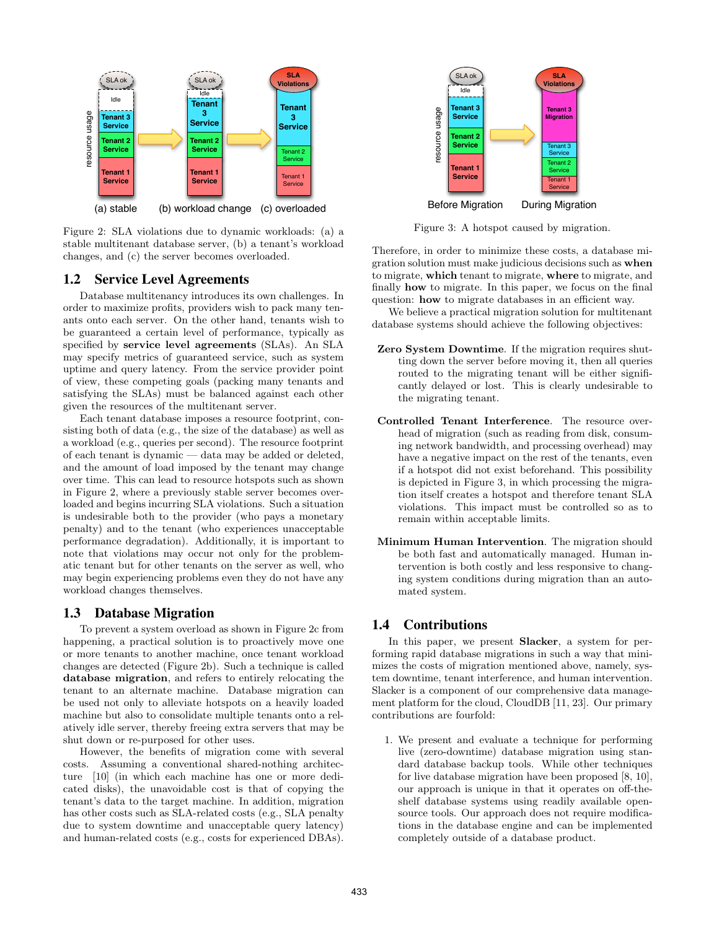

Figure 2: SLA violations due to dynamic workloads: (a) a stable multitenant database server, (b) a tenant's workload changes, and (c) the server becomes overloaded.

## 1.2 Service Level Agreements

Database multitenancy introduces its own challenges. In order to maximize profits, providers wish to pack many tenants onto each server. On the other hand, tenants wish to be guaranteed a certain level of performance, typically as specified by service level agreements (SLAs). An SLA may specify metrics of guaranteed service, such as system uptime and query latency. From the service provider point of view, these competing goals (packing many tenants and satisfying the SLAs) must be balanced against each other given the resources of the multitenant server.

Each tenant database imposes a resource footprint, consisting both of data (e.g., the size of the database) as well as a workload (e.g., queries per second). The resource footprint of each tenant is dynamic — data may be added or deleted, and the amount of load imposed by the tenant may change over time. This can lead to resource hotspots such as shown in Figure 2, where a previously stable server becomes overloaded and begins incurring SLA violations. Such a situation is undesirable both to the provider (who pays a monetary penalty) and to the tenant (who experiences unacceptable performance degradation). Additionally, it is important to note that violations may occur not only for the problematic tenant but for other tenants on the server as well, who may begin experiencing problems even they do not have any workload changes themselves. **Expertise to the minimizary costs (e.g., costs for experimental and the state of the state of experimental and the state of experimental and the state of experimental and the state of experimental and the state of the st** 

# 1.3 Database Migration

To prevent a system overload as shown in Figure 2c from happening, a practical solution is to proactively move one or more tenants to another machine, once tenant workload changes are detected (Figure 2b). Such a technique is called database migration, and refers to entirely relocating the tenant to an alternate machine. Database migration can be used not only to alleviate hotspots on a heavily loaded machine but also to consolidate multiple tenants onto a relatively idle server, thereby freeing extra servers that may be shut down or re-purposed for other uses.

However, the benefits of migration come with several costs. Assuming a conventional shared-nothing architecture [10] (in which each machine has one or more dedicated disks), the unavoidable cost is that of copying the tenant's data to the target machine. In addition, migration has other costs such as SLA-related costs (e.g., SLA penalty due to system downtime and unacceptable query latency)



Figure 3: A hotspot caused by migration.

Therefore, in order to minimize these costs, a database migration solution must make judicious decisions such as when to migrate, which tenant to migrate, where to migrate, and finally how to migrate. In this paper, we focus on the final question: how to migrate databases in an efficient way.

We believe a practical migration solution for multitenant database systems should achieve the following objectives:

- Zero System Downtime. If the migration requires shutting down the server before moving it, then all queries routed to the migrating tenant will be either significantly delayed or lost. This is clearly undesirable to the migrating tenant.
- Controlled Tenant Interference. The resource overhead of migration (such as reading from disk, consuming network bandwidth, and processing overhead) may have a negative impact on the rest of the tenants, even if a hotspot did not exist beforehand. This possibility is depicted in Figure 3, in which processing the migration itself creates a hotspot and therefore tenant SLA violations. This impact must be controlled so as to remain within acceptable limits.
- Minimum Human Intervention. The migration should be both fast and automatically managed. Human intervention is both costly and less responsive to changing system conditions during migration than an automated system.

# 1.4 Contributions

In this paper, we present **Slacker**, a system for performing rapid database migrations in such a way that minimizes the costs of migration mentioned above, namely, system downtime, tenant interference, and human intervention. Slacker is a component of our comprehensive data management platform for the cloud, CloudDB [11, 23]. Our primary contributions are fourfold:

1. We present and evaluate a technique for performing live (zero-downtime) database migration using standard database backup tools. While other techniques for live database migration have been proposed [8, 10], our approach is unique in that it operates on off-theshelf database systems using readily available opensource tools. Our approach does not require modifications in the database engine and can be implemented completely outside of a database product.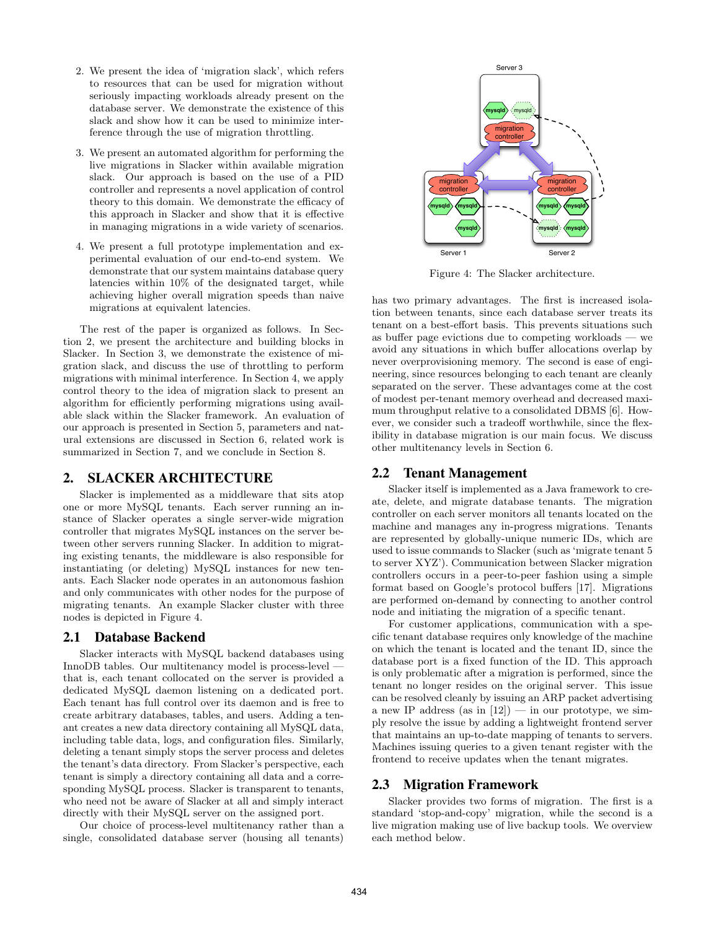- 2. We present the idea of 'migration slack', which refers to resources that can be used for migration without seriously impacting workloads already present on the database server. We demonstrate the existence of this slack and show how it can be used to minimize interference through the use of migration throttling.
- 3. We present an automated algorithm for performing the live migrations in Slacker within available migration slack. Our approach is based on the use of a PID controller and represents a novel application of control theory to this domain. We demonstrate the efficacy of this approach in Slacker and show that it is effective in managing migrations in a wide variety of scenarios.
- 4. We present a full prototype implementation and experimental evaluation of our end-to-end system. We demonstrate that our system maintains database query latencies within 10% of the designated target, while achieving higher overall migration speeds than naive migrations at equivalent latencies.

The rest of the paper is organized as follows. In Section 2, we present the architecture and building blocks in Slacker. In Section 3, we demonstrate the existence of migration slack, and discuss the use of throttling to perform migrations with minimal interference. In Section 4, we apply control theory to the idea of migration slack to present an algorithm for efficiently performing migrations using available slack within the Slacker framework. An evaluation of our approach is presented in Section 5, parameters and natural extensions are discussed in Section 6, related work is summarized in Section 7, and we conclude in Section 8.

## 2. SLACKER ARCHITECTURE

Slacker is implemented as a middleware that sits atop one or more MySQL tenants. Each server running an instance of Slacker operates a single server-wide migration controller that migrates MySQL instances on the server between other servers running Slacker. In addition to migrating existing tenants, the middleware is also responsible for instantiating (or deleting) MySQL instances for new tenants. Each Slacker node operates in an autonomous fashion and only communicates with other nodes for the purpose of migrating tenants. An example Slacker cluster with three nodes is depicted in Figure 4.

#### 2.1 Database Backend

Slacker interacts with MySQL backend databases using InnoDB tables. Our multitenancy model is process-level that is, each tenant collocated on the server is provided a dedicated MySQL daemon listening on a dedicated port. Each tenant has full control over its daemon and is free to create arbitrary databases, tables, and users. Adding a tenant creates a new data directory containing all MySQL data, including table data, logs, and configuration files. Similarly, deleting a tenant simply stops the server process and deletes the tenant's data directory. From Slacker's perspective, each tenant is simply a directory containing all data and a corresponding MySQL process. Slacker is transparent to tenants, who need not be aware of Slacker at all and simply interact directly with their MySQL server on the assigned port.

Our choice of process-level multitenancy rather than a single, consolidated database server (housing all tenants)



Figure 4: The Slacker architecture.

has two primary advantages. The first is increased isolation between tenants, since each database server treats its tenant on a best-effort basis. This prevents situations such as buffer page evictions due to competing workloads — we avoid any situations in which buffer allocations overlap by never overprovisioning memory. The second is ease of engineering, since resources belonging to each tenant are cleanly separated on the server. These advantages come at the cost of modest per-tenant memory overhead and decreased maximum throughput relative to a consolidated DBMS [6]. However, we consider such a tradeoff worthwhile, since the flexibility in database migration is our main focus. We discuss other multitenancy levels in Section 6.

#### 2.2 Tenant Management

Slacker itself is implemented as a Java framework to create, delete, and migrate database tenants. The migration controller on each server monitors all tenants located on the machine and manages any in-progress migrations. Tenants are represented by globally-unique numeric IDs, which are used to issue commands to Slacker (such as 'migrate tenant 5 to server XYZ'). Communication between Slacker migration controllers occurs in a peer-to-peer fashion using a simple format based on Google's protocol buffers [17]. Migrations are performed on-demand by connecting to another control node and initiating the migration of a specific tenant.

For customer applications, communication with a specific tenant database requires only knowledge of the machine on which the tenant is located and the tenant ID, since the database port is a fixed function of the ID. This approach is only problematic after a migration is performed, since the tenant no longer resides on the original server. This issue can be resolved cleanly by issuing an ARP packet advertising a new IP address (as in  $[12]$ ) — in our prototype, we simply resolve the issue by adding a lightweight frontend server that maintains an up-to-date mapping of tenants to servers. Machines issuing queries to a given tenant register with the frontend to receive updates when the tenant migrates.

## 2.3 Migration Framework

Slacker provides two forms of migration. The first is a standard 'stop-and-copy' migration, while the second is a live migration making use of live backup tools. We overview each method below.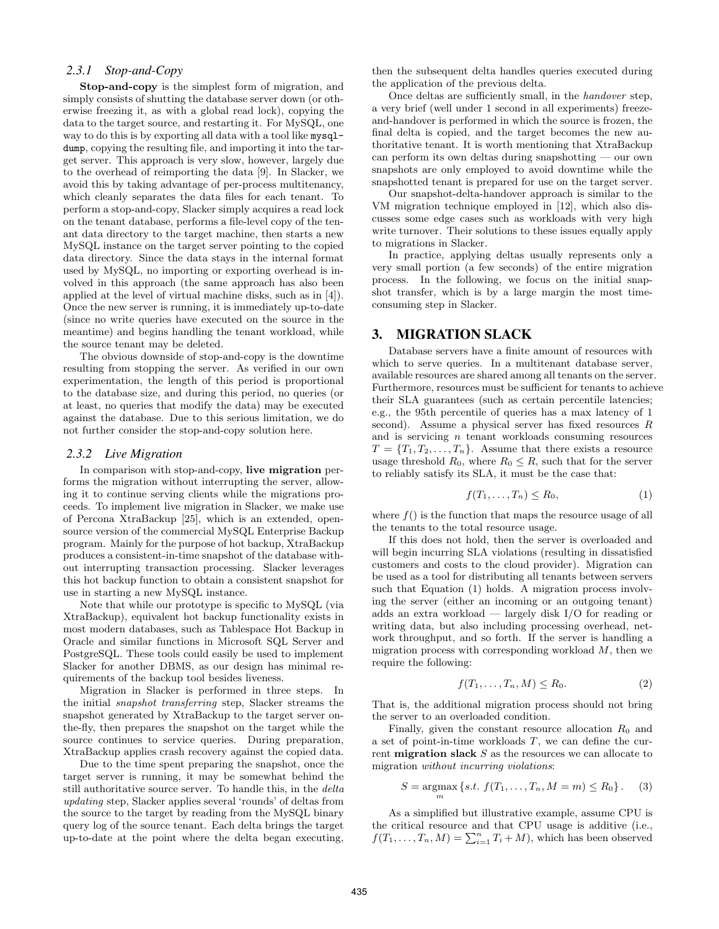# *2.3.1 Stop-and-Copy*

Stop-and-copy is the simplest form of migration, and simply consists of shutting the database server down (or otherwise freezing it, as with a global read lock), copying the data to the target source, and restarting it. For MySQL, one way to do this is by exporting all data with a tool like mysqldump, copying the resulting file, and importing it into the target server. This approach is very slow, however, largely due to the overhead of reimporting the data [9]. In Slacker, we avoid this by taking advantage of per-process multitenancy, which cleanly separates the data files for each tenant. To perform a stop-and-copy, Slacker simply acquires a read lock on the tenant database, performs a file-level copy of the tenant data directory to the target machine, then starts a new MySQL instance on the target server pointing to the copied data directory. Since the data stays in the internal format used by MySQL, no importing or exporting overhead is involved in this approach (the same approach has also been applied at the level of virtual machine disks, such as in [4]). Once the new server is running, it is immediately up-to-date (since no write queries have executed on the source in the meantime) and begins handling the tenant workload, while the source tenant may be deleted.

The obvious downside of stop-and-copy is the downtime resulting from stopping the server. As verified in our own experimentation, the length of this period is proportional to the database size, and during this period, no queries (or at least, no queries that modify the data) may be executed against the database. Due to this serious limitation, we do not further consider the stop-and-copy solution here.

#### *2.3.2 Live Migration*

In comparison with stop-and-copy, live migration performs the migration without interrupting the server, allowing it to continue serving clients while the migrations proceeds. To implement live migration in Slacker, we make use of Percona XtraBackup [25], which is an extended, opensource version of the commercial MySQL Enterprise Backup program. Mainly for the purpose of hot backup, XtraBackup produces a consistent-in-time snapshot of the database without interrupting transaction processing. Slacker leverages this hot backup function to obtain a consistent snapshot for use in starting a new MySQL instance.

Note that while our prototype is specific to MySQL (via XtraBackup), equivalent hot backup functionality exists in most modern databases, such as Tablespace Hot Backup in Oracle and similar functions in Microsoft SQL Server and PostgreSQL. These tools could easily be used to implement Slacker for another DBMS, as our design has minimal requirements of the backup tool besides liveness.

Migration in Slacker is performed in three steps. In the initial snapshot transferring step, Slacker streams the snapshot generated by XtraBackup to the target server onthe-fly, then prepares the snapshot on the target while the source continues to service queries. During preparation, XtraBackup applies crash recovery against the copied data.

Due to the time spent preparing the snapshot, once the target server is running, it may be somewhat behind the still authoritative source server. To handle this, in the *delta* updating step, Slacker applies several 'rounds' of deltas from the source to the target by reading from the MySQL binary query log of the source tenant. Each delta brings the target up-to-date at the point where the delta began executing,

then the subsequent delta handles queries executed during the application of the previous delta.

Once deltas are sufficiently small, in the handover step, a very brief (well under 1 second in all experiments) freezeand-handover is performed in which the source is frozen, the final delta is copied, and the target becomes the new authoritative tenant. It is worth mentioning that XtraBackup can perform its own deltas during snapshotting — our own snapshots are only employed to avoid downtime while the snapshotted tenant is prepared for use on the target server.

Our snapshot-delta-handover approach is similar to the VM migration technique employed in [12], which also discusses some edge cases such as workloads with very high write turnover. Their solutions to these issues equally apply to migrations in Slacker.

In practice, applying deltas usually represents only a very small portion (a few seconds) of the entire migration process. In the following, we focus on the initial snapshot transfer, which is by a large margin the most timeconsuming step in Slacker.

# 3. MIGRATION SLACK

Database servers have a finite amount of resources with which to serve queries. In a multitenant database server, available resources are shared among all tenants on the server. Furthermore, resources must be sufficient for tenants to achieve their SLA guarantees (such as certain percentile latencies; e.g., the 95th percentile of queries has a max latency of 1 second). Assume a physical server has fixed resources R and is servicing  $n$  tenant workloads consuming resources  $T = \{T_1, T_2, \ldots, T_n\}$ . Assume that there exists a resource usage threshold  $R_0$ , where  $R_0 \leq R$ , such that for the server to reliably satisfy its SLA, it must be the case that:

$$
f(T_1, \ldots, T_n) \le R_0,\tag{1}
$$

where  $f()$  is the function that maps the resource usage of all the tenants to the total resource usage.

If this does not hold, then the server is overloaded and will begin incurring SLA violations (resulting in dissatisfied customers and costs to the cloud provider). Migration can be used as a tool for distributing all tenants between servers such that Equation (1) holds. A migration process involving the server (either an incoming or an outgoing tenant) adds an extra workload — largely disk I/O for reading or writing data, but also including processing overhead, network throughput, and so forth. If the server is handling a migration process with corresponding workload  $M$ , then we require the following:

$$
f(T_1, \ldots, T_n, M) \le R_0. \tag{2}
$$

That is, the additional migration process should not bring the server to an overloaded condition.

Finally, given the constant resource allocation  $R_0$  and a set of point-in-time workloads  $T$ , we can define the current **migration slack**  $S$  as the resources we can allocate to migration without incurring violations:

$$
S = \underset{m}{\text{argmax}} \left\{ s.t. \ f(T_1, \dots, T_n, M = m) \le R_0 \right\}. \tag{3}
$$

As a simplified but illustrative example, assume CPU is the critical resource and that CPU usage is additive (i.e.,  $f(T_1, \ldots, T_n, M) = \sum_{i=1}^n T_i + M$ , which has been observed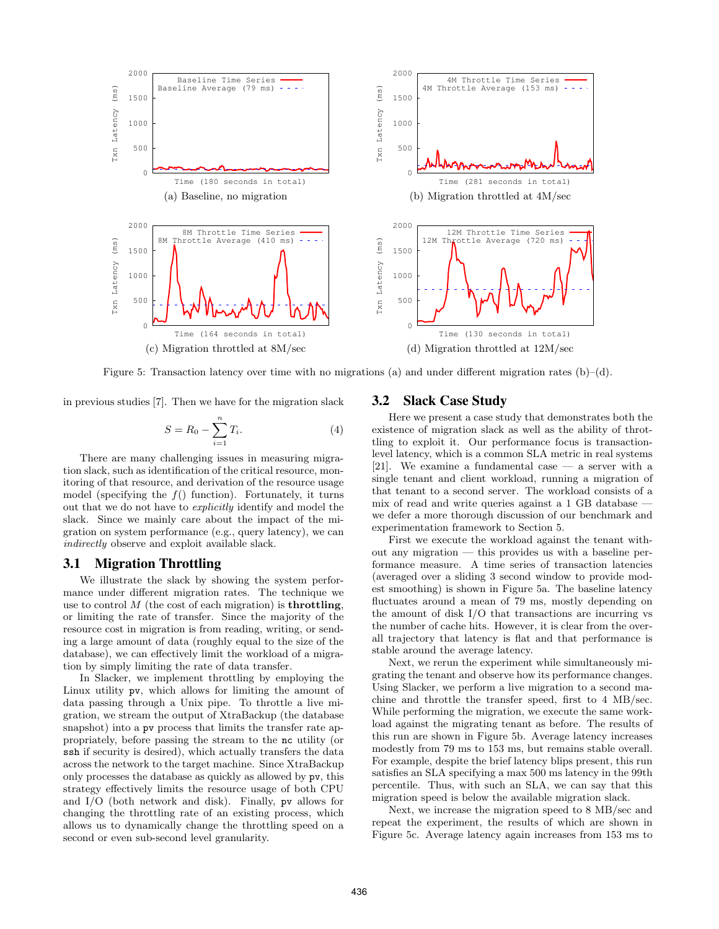

Figure 5: Transaction latency over time with no migrations (a) and under different migration rates  $(b)$ –(d).

in previous studies [7]. Then we have for the migration slack

$$
S = R_0 - \sum_{i=1}^{n} T_i.
$$
 (4)

There are many challenging issues in measuring migration slack, such as identification of the critical resource, monitoring of that resource, and derivation of the resource usage model (specifying the  $f()$  function). Fortunately, it turns out that we do not have to explicitly identify and model the slack. Since we mainly care about the impact of the migration on system performance (e.g., query latency), we can indirectly observe and exploit available slack.

## 3.1 Migration Throttling

We illustrate the slack by showing the system performance under different migration rates. The technique we use to control  $M$  (the cost of each migration) is **throttling**, or limiting the rate of transfer. Since the majority of the resource cost in migration is from reading, writing, or sending a large amount of data (roughly equal to the size of the database), we can effectively limit the workload of a migration by simply limiting the rate of data transfer.

In Slacker, we implement throttling by employing the Linux utility pv, which allows for limiting the amount of data passing through a Unix pipe. To throttle a live migration, we stream the output of XtraBackup (the database snapshot) into a pv process that limits the transfer rate appropriately, before passing the stream to the nc utility (or ssh if security is desired), which actually transfers the data across the network to the target machine. Since XtraBackup only processes the database as quickly as allowed by pv, this strategy effectively limits the resource usage of both CPU and I/O (both network and disk). Finally, pv allows for changing the throttling rate of an existing process, which allows us to dynamically change the throttling speed on a second or even sub-second level granularity.

#### 3.2 Slack Case Study

Here we present a case study that demonstrates both the existence of migration slack as well as the ability of throttling to exploit it. Our performance focus is transactionlevel latency, which is a common SLA metric in real systems [21]. We examine a fundamental case — a server with a single tenant and client workload, running a migration of that tenant to a second server. The workload consists of a mix of read and write queries against a 1 GB database we defer a more thorough discussion of our benchmark and experimentation framework to Section 5.

First we execute the workload against the tenant without any migration — this provides us with a baseline performance measure. A time series of transaction latencies (averaged over a sliding 3 second window to provide modest smoothing) is shown in Figure 5a. The baseline latency fluctuates around a mean of 79 ms, mostly depending on the amount of disk I/O that transactions are incurring vs the number of cache hits. However, it is clear from the overall trajectory that latency is flat and that performance is stable around the average latency.

Next, we rerun the experiment while simultaneously migrating the tenant and observe how its performance changes. Using Slacker, we perform a live migration to a second machine and throttle the transfer speed, first to 4 MB/sec. While performing the migration, we execute the same workload against the migrating tenant as before. The results of this run are shown in Figure 5b. Average latency increases modestly from 79 ms to 153 ms, but remains stable overall. For example, despite the brief latency blips present, this run satisfies an SLA specifying a max 500 ms latency in the 99th percentile. Thus, with such an SLA, we can say that this migration speed is below the available migration slack.

Next, we increase the migration speed to 8 MB/sec and repeat the experiment, the results of which are shown in Figure 5c. Average latency again increases from 153 ms to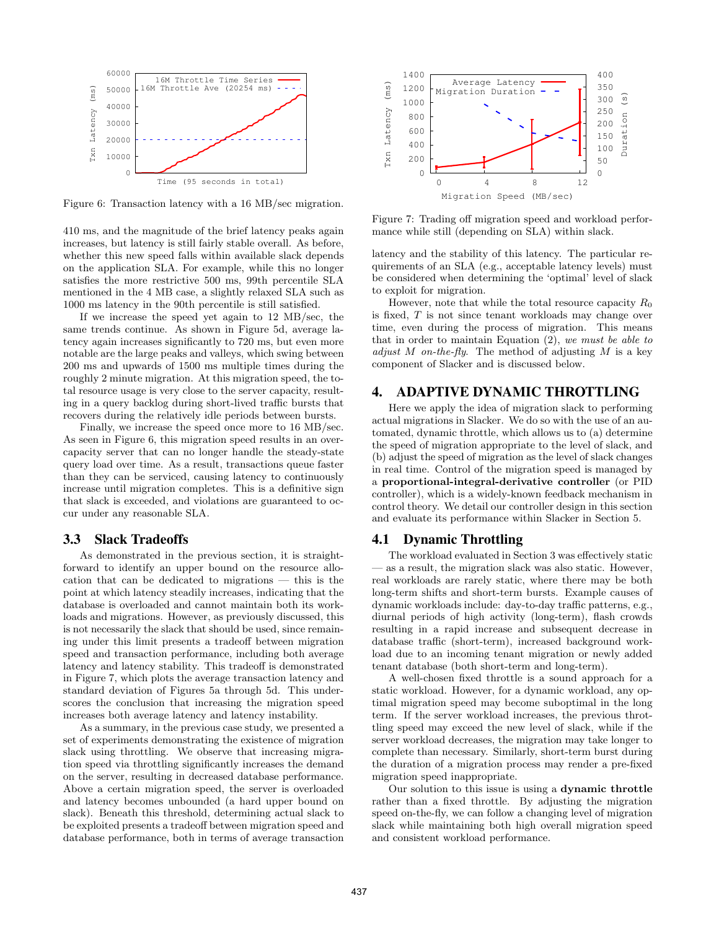

Figure 6: Transaction latency with a 16 MB/sec migration.

410 ms, and the magnitude of the brief latency peaks again increases, but latency is still fairly stable overall. As before, whether this new speed falls within available slack depends on the application SLA. For example, while this no longer satisfies the more restrictive 500 ms, 99th percentile SLA mentioned in the 4 MB case, a slightly relaxed SLA such as 1000 ms latency in the 90th percentile is still satisfied.

If we increase the speed yet again to 12 MB/sec, the same trends continue. As shown in Figure 5d, average latency again increases significantly to 720 ms, but even more notable are the large peaks and valleys, which swing between 200 ms and upwards of 1500 ms multiple times during the roughly 2 minute migration. At this migration speed, the total resource usage is very close to the server capacity, resulting in a query backlog during short-lived traffic bursts that recovers during the relatively idle periods between bursts.

Finally, we increase the speed once more to 16 MB/sec. As seen in Figure 6, this migration speed results in an overcapacity server that can no longer handle the steady-state query load over time. As a result, transactions queue faster than they can be serviced, causing latency to continuously increase until migration completes. This is a definitive sign that slack is exceeded, and violations are guaranteed to occur under any reasonable SLA.

## 3.3 Slack Tradeoffs

As demonstrated in the previous section, it is straightforward to identify an upper bound on the resource allocation that can be dedicated to migrations — this is the point at which latency steadily increases, indicating that the database is overloaded and cannot maintain both its workloads and migrations. However, as previously discussed, this is not necessarily the slack that should be used, since remaining under this limit presents a tradeoff between migration speed and transaction performance, including both average latency and latency stability. This tradeoff is demonstrated in Figure 7, which plots the average transaction latency and standard deviation of Figures 5a through 5d. This underscores the conclusion that increasing the migration speed increases both average latency and latency instability.

As a summary, in the previous case study, we presented a set of experiments demonstrating the existence of migration slack using throttling. We observe that increasing migration speed via throttling significantly increases the demand on the server, resulting in decreased database performance. Above a certain migration speed, the server is overloaded and latency becomes unbounded (a hard upper bound on slack). Beneath this threshold, determining actual slack to be exploited presents a tradeoff between migration speed and database performance, both in terms of average transaction



Figure 7: Trading off migration speed and workload performance while still (depending on SLA) within slack.

latency and the stability of this latency. The particular requirements of an SLA (e.g., acceptable latency levels) must be considered when determining the 'optimal' level of slack to exploit for migration.

However, note that while the total resource capacity  $R_0$ is fixed, T is not since tenant workloads may change over time, even during the process of migration. This means that in order to maintain Equation (2), we must be able to adjust  $M$  on-the-fly. The method of adjusting  $M$  is a key component of Slacker and is discussed below.

## 4. ADAPTIVE DYNAMIC THROTTLING

Here we apply the idea of migration slack to performing actual migrations in Slacker. We do so with the use of an automated, dynamic throttle, which allows us to (a) determine the speed of migration appropriate to the level of slack, and (b) adjust the speed of migration as the level of slack changes in real time. Control of the migration speed is managed by a proportional-integral-derivative controller (or PID controller), which is a widely-known feedback mechanism in control theory. We detail our controller design in this section and evaluate its performance within Slacker in Section 5.

#### 4.1 Dynamic Throttling

The workload evaluated in Section 3 was effectively static — as a result, the migration slack was also static. However, real workloads are rarely static, where there may be both long-term shifts and short-term bursts. Example causes of dynamic workloads include: day-to-day traffic patterns, e.g., diurnal periods of high activity (long-term), flash crowds resulting in a rapid increase and subsequent decrease in database traffic (short-term), increased background workload due to an incoming tenant migration or newly added tenant database (both short-term and long-term).

A well-chosen fixed throttle is a sound approach for a static workload. However, for a dynamic workload, any optimal migration speed may become suboptimal in the long term. If the server workload increases, the previous throttling speed may exceed the new level of slack, while if the server workload decreases, the migration may take longer to complete than necessary. Similarly, short-term burst during the duration of a migration process may render a pre-fixed migration speed inappropriate.

Our solution to this issue is using a dynamic throttle rather than a fixed throttle. By adjusting the migration speed on-the-fly, we can follow a changing level of migration slack while maintaining both high overall migration speed and consistent workload performance.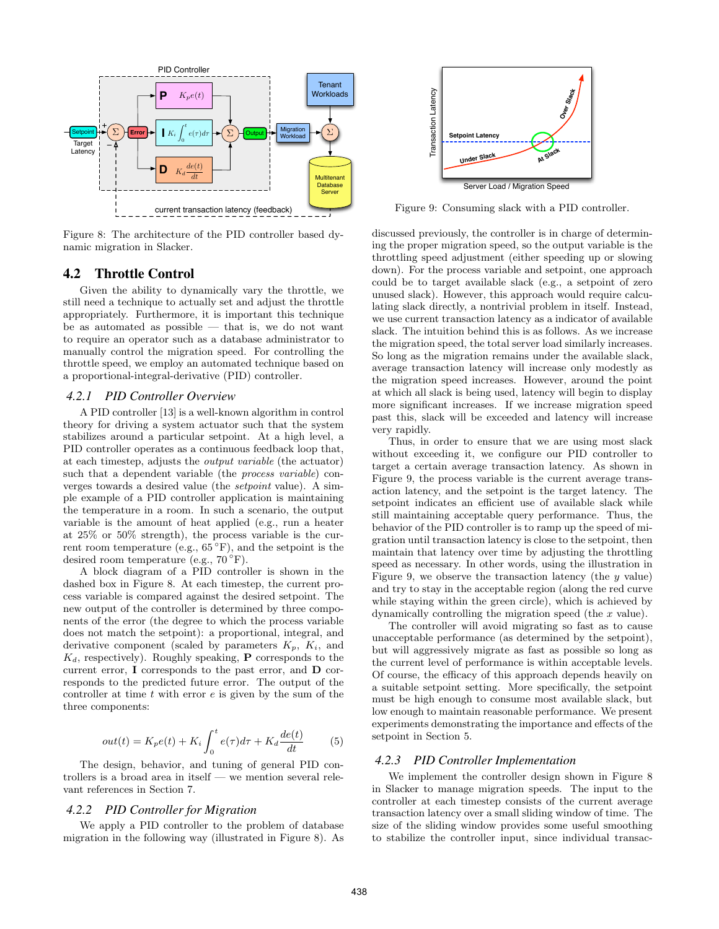

Figure 8: The architecture of the PID controller based dynamic migration in Slacker.

## 4.2 Throttle Control

Given the ability to dynamically vary the throttle, we still need a technique to actually set and adjust the throttle appropriately. Furthermore, it is important this technique be as automated as possible — that is, we do not want to require an operator such as a database administrator to manually control the migration speed. For controlling the throttle speed, we employ an automated technique based on a proportional-integral-derivative (PID) controller.

#### *4.2.1 PID Controller Overview*

A PID controller [13] is a well-known algorithm in control theory for driving a system actuator such that the system stabilizes around a particular setpoint. At a high level, a PID controller operates as a continuous feedback loop that, at each timestep, adjusts the output variable (the actuator) such that a dependent variable (the *process variable*) converges towards a desired value (the setpoint value). A simple example of a PID controller application is maintaining the temperature in a room. In such a scenario, the output variable is the amount of heat applied (e.g., run a heater at 25% or 50% strength), the process variable is the current room temperature (e.g.,  $65^{\circ}$ F), and the setpoint is the desired room temperature (e.g., 70 ◦F).

A block diagram of a PID controller is shown in the dashed box in Figure 8. At each timestep, the current process variable is compared against the desired setpoint. The new output of the controller is determined by three components of the error (the degree to which the process variable does not match the setpoint): a proportional, integral, and derivative component (scaled by parameters  $K_p$ ,  $K_i$ , and  $K_d$ , respectively). Roughly speaking, **P** corresponds to the current error, I corresponds to the past error, and D corresponds to the predicted future error. The output of the controller at time  $t$  with error  $e$  is given by the sum of the three components:

$$
out(t) = K_p e(t) + K_i \int_0^t e(\tau) d\tau + K_d \frac{de(t)}{dt}
$$
 (5)

The design, behavior, and tuning of general PID controllers is a broad area in itself — we mention several relevant references in Section 7.

#### *4.2.2 PID Controller for Migration*

We apply a PID controller to the problem of database migration in the following way (illustrated in Figure 8). As



Figure 9: Consuming slack with a PID controller.

discussed previously, the controller is in charge of determining the proper migration speed, so the output variable is the throttling speed adjustment (either speeding up or slowing down). For the process variable and setpoint, one approach could be to target available slack (e.g., a setpoint of zero unused slack). However, this approach would require calculating slack directly, a nontrivial problem in itself. Instead, we use current transaction latency as a indicator of available slack. The intuition behind this is as follows. As we increase the migration speed, the total server load similarly increases. So long as the migration remains under the available slack, average transaction latency will increase only modestly as the migration speed increases. However, around the point at which all slack is being used, latency will begin to display more significant increases. If we increase migration speed past this, slack will be exceeded and latency will increase very rapidly.

Thus, in order to ensure that we are using most slack without exceeding it, we configure our PID controller to target a certain average transaction latency. As shown in Figure 9, the process variable is the current average transaction latency, and the setpoint is the target latency. The setpoint indicates an efficient use of available slack while still maintaining acceptable query performance. Thus, the behavior of the PID controller is to ramp up the speed of migration until transaction latency is close to the setpoint, then maintain that latency over time by adjusting the throttling speed as necessary. In other words, using the illustration in Figure 9, we observe the transaction latency (the  $y$  value) and try to stay in the acceptable region (along the red curve while staying within the green circle), which is achieved by dynamically controlling the migration speed (the x value).

The controller will avoid migrating so fast as to cause unacceptable performance (as determined by the setpoint), but will aggressively migrate as fast as possible so long as the current level of performance is within acceptable levels. Of course, the efficacy of this approach depends heavily on a suitable setpoint setting. More specifically, the setpoint must be high enough to consume most available slack, but low enough to maintain reasonable performance. We present experiments demonstrating the importance and effects of the setpoint in Section 5.

#### *4.2.3 PID Controller Implementation*

We implement the controller design shown in Figure 8 in Slacker to manage migration speeds. The input to the controller at each timestep consists of the current average transaction latency over a small sliding window of time. The size of the sliding window provides some useful smoothing to stabilize the controller input, since individual transac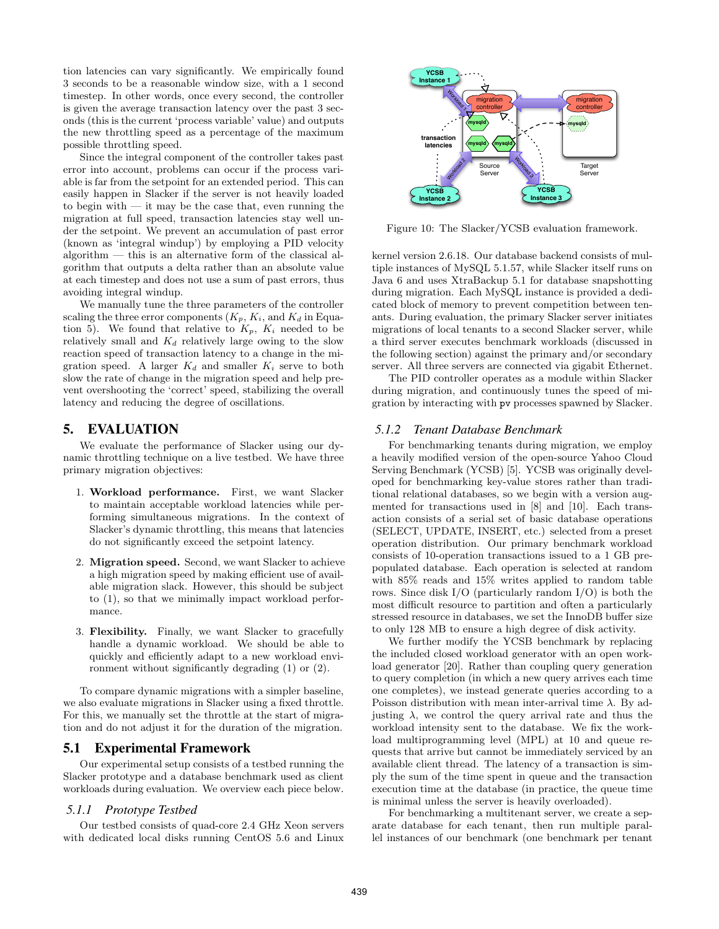tion latencies can vary significantly. We empirically found 3 seconds to be a reasonable window size, with a 1 second timestep. In other words, once every second, the controller is given the average transaction latency over the past 3 seconds (this is the current 'process variable' value) and outputs the new throttling speed as a percentage of the maximum possible throttling speed.

Since the integral component of the controller takes past error into account, problems can occur if the process variable is far from the setpoint for an extended period. This can easily happen in Slacker if the server is not heavily loaded to begin with  $-$  it may be the case that, even running the migration at full speed, transaction latencies stay well under the setpoint. We prevent an accumulation of past error (known as 'integral windup') by employing a PID velocity algorithm — this is an alternative form of the classical algorithm that outputs a delta rather than an absolute value at each timestep and does not use a sum of past errors, thus avoiding integral windup.

We manually tune the three parameters of the controller scaling the three error components  $(K_p, K_i, \text{and } K_d$  in Equation 5). We found that relative to  $K_p$ ,  $K_i$  needed to be relatively small and  $K_d$  relatively large owing to the slow reaction speed of transaction latency to a change in the migration speed. A larger  $K_d$  and smaller  $K_i$  serve to both slow the rate of change in the migration speed and help prevent overshooting the 'correct' speed, stabilizing the overall latency and reducing the degree of oscillations.

## 5. EVALUATION

We evaluate the performance of Slacker using our dynamic throttling technique on a live testbed. We have three primary migration objectives:

- 1. Workload performance. First, we want Slacker to maintain acceptable workload latencies while performing simultaneous migrations. In the context of Slacker's dynamic throttling, this means that latencies do not significantly exceed the setpoint latency.
- 2. Migration speed. Second, we want Slacker to achieve a high migration speed by making efficient use of available migration slack. However, this should be subject to (1), so that we minimally impact workload performance.
- 3. Flexibility. Finally, we want Slacker to gracefully handle a dynamic workload. We should be able to quickly and efficiently adapt to a new workload environment without significantly degrading (1) or (2).

To compare dynamic migrations with a simpler baseline, we also evaluate migrations in Slacker using a fixed throttle. For this, we manually set the throttle at the start of migration and do not adjust it for the duration of the migration.

## 5.1 Experimental Framework

Our experimental setup consists of a testbed running the Slacker prototype and a database benchmark used as client workloads during evaluation. We overview each piece below.

#### *5.1.1 Prototype Testbed*

Our testbed consists of quad-core 2.4 GHz Xeon servers with dedicated local disks running CentOS 5.6 and Linux



Figure 10: The Slacker/YCSB evaluation framework.

kernel version 2.6.18. Our database backend consists of multiple instances of MySQL 5.1.57, while Slacker itself runs on Java 6 and uses XtraBackup 5.1 for database snapshotting during migration. Each MySQL instance is provided a dedicated block of memory to prevent competition between tenants. During evaluation, the primary Slacker server initiates migrations of local tenants to a second Slacker server, while a third server executes benchmark workloads (discussed in the following section) against the primary and/or secondary server. All three servers are connected via gigabit Ethernet.

The PID controller operates as a module within Slacker during migration, and continuously tunes the speed of migration by interacting with pv processes spawned by Slacker.

#### *5.1.2 Tenant Database Benchmark*

For benchmarking tenants during migration, we employ a heavily modified version of the open-source Yahoo Cloud Serving Benchmark (YCSB) [5]. YCSB was originally developed for benchmarking key-value stores rather than traditional relational databases, so we begin with a version augmented for transactions used in [8] and [10]. Each transaction consists of a serial set of basic database operations (SELECT, UPDATE, INSERT, etc.) selected from a preset operation distribution. Our primary benchmark workload consists of 10-operation transactions issued to a 1 GB prepopulated database. Each operation is selected at random with 85% reads and 15% writes applied to random table rows. Since disk  $I/O$  (particularly random  $I/O$ ) is both the most difficult resource to partition and often a particularly stressed resource in databases, we set the InnoDB buffer size to only 128 MB to ensure a high degree of disk activity.

We further modify the YCSB benchmark by replacing the included closed workload generator with an open workload generator [20]. Rather than coupling query generation to query completion (in which a new query arrives each time one completes), we instead generate queries according to a Poisson distribution with mean inter-arrival time  $\lambda$ . By adjusting  $\lambda$ , we control the query arrival rate and thus the workload intensity sent to the database. We fix the workload multiprogramming level (MPL) at 10 and queue requests that arrive but cannot be immediately serviced by an available client thread. The latency of a transaction is simply the sum of the time spent in queue and the transaction execution time at the database (in practice, the queue time is minimal unless the server is heavily overloaded).

For benchmarking a multitenant server, we create a separate database for each tenant, then run multiple parallel instances of our benchmark (one benchmark per tenant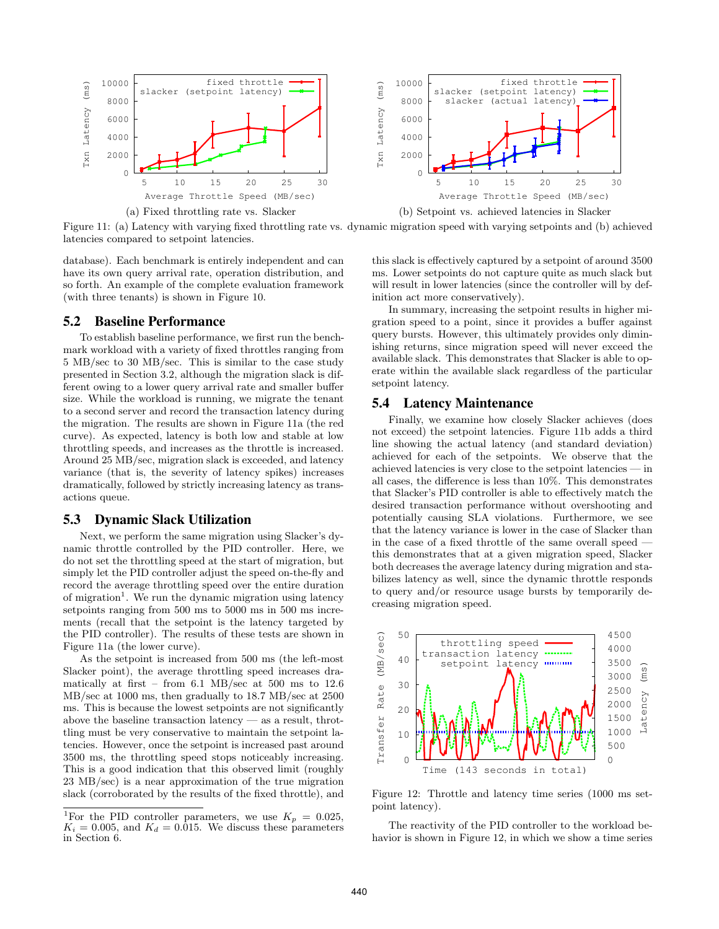

Figure 11: (a) Latency with varying fixed throttling rate vs. dynamic migration speed with varying setpoints and (b) achieved latencies compared to setpoint latencies.

database). Each benchmark is entirely independent and can have its own query arrival rate, operation distribution, and so forth. An example of the complete evaluation framework (with three tenants) is shown in Figure 10.

#### 5.2 Baseline Performance

To establish baseline performance, we first run the benchmark workload with a variety of fixed throttles ranging from 5 MB/sec to 30 MB/sec. This is similar to the case study presented in Section 3.2, although the migration slack is different owing to a lower query arrival rate and smaller buffer size. While the workload is running, we migrate the tenant to a second server and record the transaction latency during the migration. The results are shown in Figure 11a (the red curve). As expected, latency is both low and stable at low throttling speeds, and increases as the throttle is increased. Around 25 MB/sec, migration slack is exceeded, and latency variance (that is, the severity of latency spikes) increases dramatically, followed by strictly increasing latency as transactions queue.

#### 5.3 Dynamic Slack Utilization

Next, we perform the same migration using Slacker's dynamic throttle controlled by the PID controller. Here, we do not set the throttling speed at the start of migration, but simply let the PID controller adjust the speed on-the-fly and record the average throttling speed over the entire duration of migration<sup>1</sup>. We run the dynamic migration using latency setpoints ranging from 500 ms to 5000 ms in 500 ms increments (recall that the setpoint is the latency targeted by the PID controller). The results of these tests are shown in Figure 11a (the lower curve).

As the setpoint is increased from 500 ms (the left-most Slacker point), the average throttling speed increases dramatically at first – from 6.1 MB/sec at 500 ms to 12.6 MB/sec at 1000 ms, then gradually to 18.7 MB/sec at 2500 ms. This is because the lowest setpoints are not significantly above the baseline transaction latency — as a result, throttling must be very conservative to maintain the setpoint latencies. However, once the setpoint is increased past around 3500 ms, the throttling speed stops noticeably increasing. This is a good indication that this observed limit (roughly 23 MB/sec) is a near approximation of the true migration slack (corroborated by the results of the fixed throttle), and

this slack is effectively captured by a setpoint of around 3500 ms. Lower setpoints do not capture quite as much slack but will result in lower latencies (since the controller will by definition act more conservatively).

In summary, increasing the setpoint results in higher migration speed to a point, since it provides a buffer against query bursts. However, this ultimately provides only diminishing returns, since migration speed will never exceed the available slack. This demonstrates that Slacker is able to operate within the available slack regardless of the particular setpoint latency.

#### 5.4 Latency Maintenance

Finally, we examine how closely Slacker achieves (does not exceed) the setpoint latencies. Figure 11b adds a third line showing the actual latency (and standard deviation) achieved for each of the setpoints. We observe that the achieved latencies is very close to the setpoint latencies — in all cases, the difference is less than 10%. This demonstrates that Slacker's PID controller is able to effectively match the desired transaction performance without overshooting and potentially causing SLA violations. Furthermore, we see that the latency variance is lower in the case of Slacker than in the case of a fixed throttle of the same overall speed this demonstrates that at a given migration speed, Slacker both decreases the average latency during migration and stabilizes latency as well, since the dynamic throttle responds to query and/or resource usage bursts by temporarily decreasing migration speed.



Figure 12: Throttle and latency time series (1000 ms setpoint latency).

The reactivity of the PID controller to the workload behavior is shown in Figure 12, in which we show a time series

<sup>&</sup>lt;sup>1</sup>For the PID controller parameters, we use  $K_p = 0.025$ ,  $K_i = 0.005$ , and  $K_d = 0.015$ . We discuss these parameters in Section 6.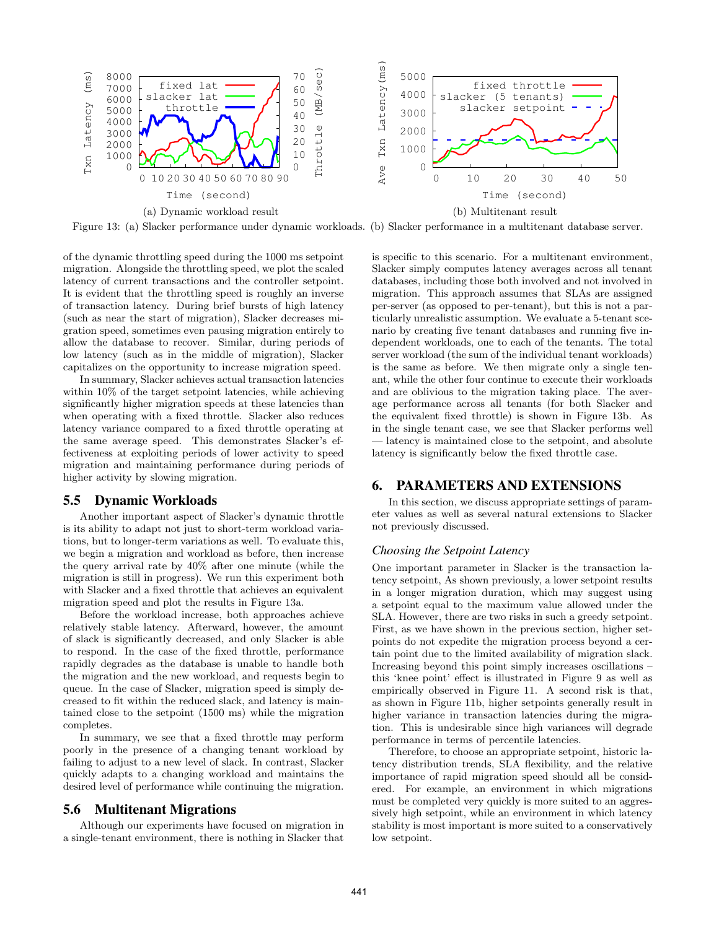

Figure 13: (a) Slacker performance under dynamic workloads. (b) Slacker performance in a multitenant database server.

of the dynamic throttling speed during the 1000 ms setpoint migration. Alongside the throttling speed, we plot the scaled latency of current transactions and the controller setpoint. It is evident that the throttling speed is roughly an inverse of transaction latency. During brief bursts of high latency (such as near the start of migration), Slacker decreases migration speed, sometimes even pausing migration entirely to allow the database to recover. Similar, during periods of low latency (such as in the middle of migration), Slacker capitalizes on the opportunity to increase migration speed.

In summary, Slacker achieves actual transaction latencies within 10% of the target setpoint latencies, while achieving significantly higher migration speeds at these latencies than when operating with a fixed throttle. Slacker also reduces latency variance compared to a fixed throttle operating at the same average speed. This demonstrates Slacker's effectiveness at exploiting periods of lower activity to speed migration and maintaining performance during periods of higher activity by slowing migration.

#### 5.5 Dynamic Workloads

Another important aspect of Slacker's dynamic throttle is its ability to adapt not just to short-term workload variations, but to longer-term variations as well. To evaluate this, we begin a migration and workload as before, then increase the query arrival rate by 40% after one minute (while the migration is still in progress). We run this experiment both with Slacker and a fixed throttle that achieves an equivalent migration speed and plot the results in Figure 13a.

Before the workload increase, both approaches achieve relatively stable latency. Afterward, however, the amount of slack is significantly decreased, and only Slacker is able to respond. In the case of the fixed throttle, performance rapidly degrades as the database is unable to handle both the migration and the new workload, and requests begin to queue. In the case of Slacker, migration speed is simply decreased to fit within the reduced slack, and latency is maintained close to the setpoint (1500 ms) while the migration completes.

In summary, we see that a fixed throttle may perform poorly in the presence of a changing tenant workload by failing to adjust to a new level of slack. In contrast, Slacker quickly adapts to a changing workload and maintains the desired level of performance while continuing the migration.

#### 5.6 Multitenant Migrations

Although our experiments have focused on migration in a single-tenant environment, there is nothing in Slacker that

is specific to this scenario. For a multitenant environment, Slacker simply computes latency averages across all tenant databases, including those both involved and not involved in migration. This approach assumes that SLAs are assigned per-server (as opposed to per-tenant), but this is not a particularly unrealistic assumption. We evaluate a 5-tenant scenario by creating five tenant databases and running five independent workloads, one to each of the tenants. The total server workload (the sum of the individual tenant workloads) is the same as before. We then migrate only a single tenant, while the other four continue to execute their workloads and are oblivious to the migration taking place. The average performance across all tenants (for both Slacker and the equivalent fixed throttle) is shown in Figure 13b. As in the single tenant case, we see that Slacker performs well — latency is maintained close to the setpoint, and absolute latency is significantly below the fixed throttle case.

#### 6. PARAMETERS AND EXTENSIONS

In this section, we discuss appropriate settings of parameter values as well as several natural extensions to Slacker not previously discussed.

#### *Choosing the Setpoint Latency*

One important parameter in Slacker is the transaction latency setpoint, As shown previously, a lower setpoint results in a longer migration duration, which may suggest using a setpoint equal to the maximum value allowed under the SLA. However, there are two risks in such a greedy setpoint. First, as we have shown in the previous section, higher setpoints do not expedite the migration process beyond a certain point due to the limited availability of migration slack. Increasing beyond this point simply increases oscillations – this 'knee point' effect is illustrated in Figure 9 as well as empirically observed in Figure 11. A second risk is that, as shown in Figure 11b, higher setpoints generally result in higher variance in transaction latencies during the migration. This is undesirable since high variances will degrade performance in terms of percentile latencies.

Therefore, to choose an appropriate setpoint, historic latency distribution trends, SLA flexibility, and the relative importance of rapid migration speed should all be considered. For example, an environment in which migrations must be completed very quickly is more suited to an aggressively high setpoint, while an environment in which latency stability is most important is more suited to a conservatively low setpoint.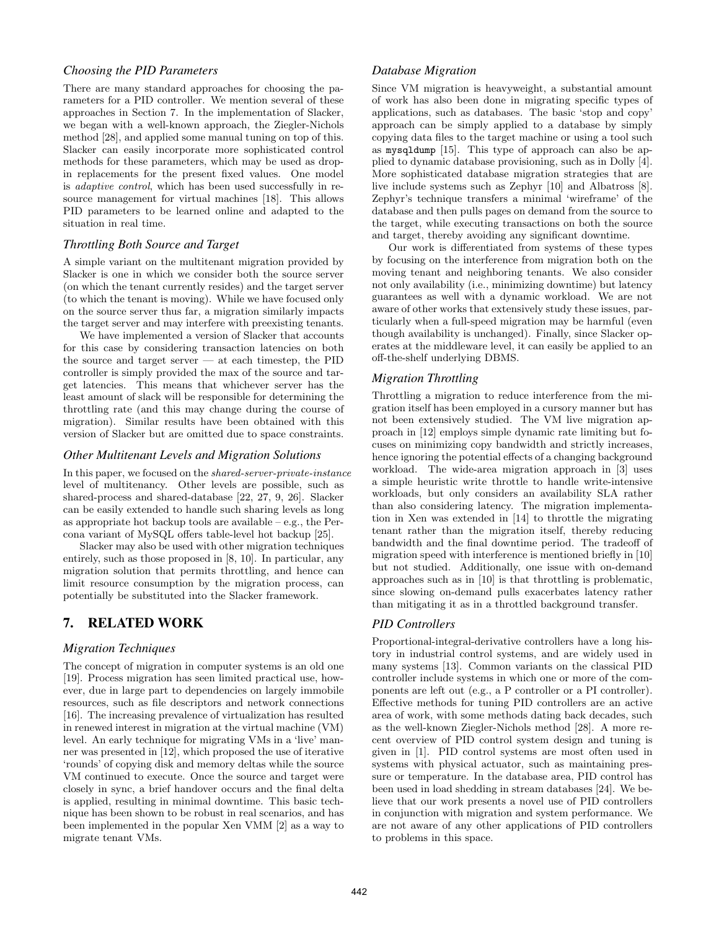## *Choosing the PID Parameters*

There are many standard approaches for choosing the parameters for a PID controller. We mention several of these approaches in Section 7. In the implementation of Slacker, we began with a well-known approach, the Ziegler-Nichols method [28], and applied some manual tuning on top of this. Slacker can easily incorporate more sophisticated control methods for these parameters, which may be used as dropin replacements for the present fixed values. One model is adaptive control, which has been used successfully in resource management for virtual machines [18]. This allows PID parameters to be learned online and adapted to the situation in real time.

## *Throttling Both Source and Target*

A simple variant on the multitenant migration provided by Slacker is one in which we consider both the source server (on which the tenant currently resides) and the target server (to which the tenant is moving). While we have focused only on the source server thus far, a migration similarly impacts the target server and may interfere with preexisting tenants.

We have implemented a version of Slacker that accounts for this case by considering transaction latencies on both the source and target server — at each timestep, the PID controller is simply provided the max of the source and target latencies. This means that whichever server has the least amount of slack will be responsible for determining the throttling rate (and this may change during the course of migration). Similar results have been obtained with this version of Slacker but are omitted due to space constraints.

## *Other Multitenant Levels and Migration Solutions*

In this paper, we focused on the shared-server-private-instance level of multitenancy. Other levels are possible, such as shared-process and shared-database [22, 27, 9, 26]. Slacker can be easily extended to handle such sharing levels as long as appropriate hot backup tools are available – e.g., the Percona variant of MySQL offers table-level hot backup [25].

Slacker may also be used with other migration techniques entirely, such as those proposed in [8, 10]. In particular, any migration solution that permits throttling, and hence can limit resource consumption by the migration process, can potentially be substituted into the Slacker framework.

# 7. RELATED WORK

## *Migration Techniques*

The concept of migration in computer systems is an old one [19]. Process migration has seen limited practical use, however, due in large part to dependencies on largely immobile resources, such as file descriptors and network connections [16]. The increasing prevalence of virtualization has resulted in renewed interest in migration at the virtual machine (VM) level. An early technique for migrating VMs in a 'live' manner was presented in [12], which proposed the use of iterative 'rounds' of copying disk and memory deltas while the source VM continued to execute. Once the source and target were closely in sync, a brief handover occurs and the final delta is applied, resulting in minimal downtime. This basic technique has been shown to be robust in real scenarios, and has been implemented in the popular Xen VMM [2] as a way to migrate tenant VMs.

## *Database Migration*

Since VM migration is heavyweight, a substantial amount of work has also been done in migrating specific types of applications, such as databases. The basic 'stop and copy' approach can be simply applied to a database by simply copying data files to the target machine or using a tool such as mysqldump [15]. This type of approach can also be applied to dynamic database provisioning, such as in Dolly [4]. More sophisticated database migration strategies that are live include systems such as Zephyr [10] and Albatross [8]. Zephyr's technique transfers a minimal 'wireframe' of the database and then pulls pages on demand from the source to the target, while executing transactions on both the source and target, thereby avoiding any significant downtime.

Our work is differentiated from systems of these types by focusing on the interference from migration both on the moving tenant and neighboring tenants. We also consider not only availability (i.e., minimizing downtime) but latency guarantees as well with a dynamic workload. We are not aware of other works that extensively study these issues, particularly when a full-speed migration may be harmful (even though availability is unchanged). Finally, since Slacker operates at the middleware level, it can easily be applied to an off-the-shelf underlying DBMS.

# *Migration Throttling*

Throttling a migration to reduce interference from the migration itself has been employed in a cursory manner but has not been extensively studied. The VM live migration approach in [12] employs simple dynamic rate limiting but focuses on minimizing copy bandwidth and strictly increases, hence ignoring the potential effects of a changing background workload. The wide-area migration approach in [3] uses a simple heuristic write throttle to handle write-intensive workloads, but only considers an availability SLA rather than also considering latency. The migration implementation in Xen was extended in [14] to throttle the migrating tenant rather than the migration itself, thereby reducing bandwidth and the final downtime period. The tradeoff of migration speed with interference is mentioned briefly in [10] but not studied. Additionally, one issue with on-demand approaches such as in [10] is that throttling is problematic, since slowing on-demand pulls exacerbates latency rather than mitigating it as in a throttled background transfer.

# *PID Controllers*

Proportional-integral-derivative controllers have a long history in industrial control systems, and are widely used in many systems [13]. Common variants on the classical PID controller include systems in which one or more of the components are left out (e.g., a P controller or a PI controller). Effective methods for tuning PID controllers are an active area of work, with some methods dating back decades, such as the well-known Ziegler-Nichols method [28]. A more recent overview of PID control system design and tuning is given in [1]. PID control systems are most often used in systems with physical actuator, such as maintaining pressure or temperature. In the database area, PID control has been used in load shedding in stream databases [24]. We believe that our work presents a novel use of PID controllers in conjunction with migration and system performance. We are not aware of any other applications of PID controllers to problems in this space.